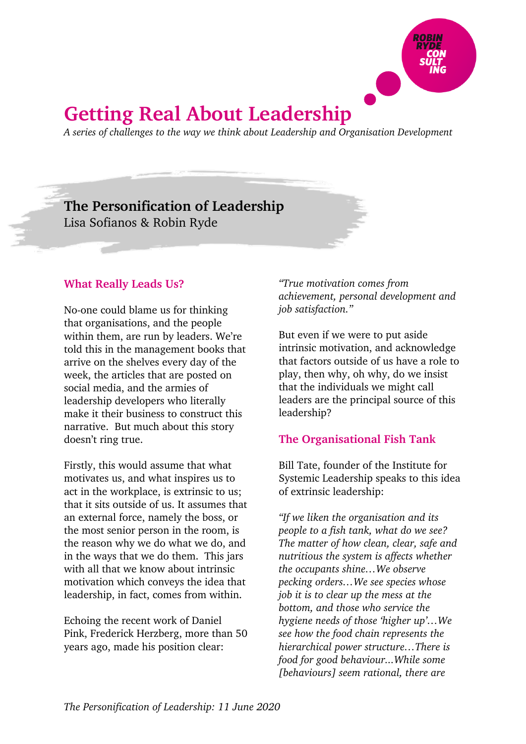

# **Getting Real About Leadership**

*A series of challenges to the way we think about Leadership and Organisation Development*

## **The Personification of Leadership** Lisa Sofianos & Robin Ryde

#### **What Really Leads Us?**

No-one could blame us for thinking that organisations, and the people within them, are run by leaders. We're told this in the management books that arrive on the shelves every day of the week, the articles that are posted on social media, and the armies of leadership developers who literally make it their business to construct this narrative. But much about this story doesn't ring true.

Firstly, this would assume that what motivates us, and what inspires us to act in the workplace, is extrinsic to us; that it sits outside of us. It assumes that an external force, namely the boss, or the most senior person in the room, is the reason why we do what we do, and in the ways that we do them. This jars with all that we know about intrinsic motivation which conveys the idea that leadership, in fact, comes from within.

Echoing the recent work of Daniel Pink, Frederick Herzberg, more than 50 years ago, made his position clear:

*"True motivation comes from achievement, personal development and job satisfaction."*

But even if we were to put aside intrinsic motivation, and acknowledge that factors outside of us have a role to play, then why, oh why, do we insist that the individuals we might call leaders are the principal source of this leadership?

#### **The Organisational Fish Tank**

Bill Tate, founder of the Institute for Systemic Leadership speaks to this idea of extrinsic leadership:

*"If we liken the organisation and its people to a fish tank, what do we see? The matter of how clean, clear, safe and nutritious the system is affects whether the occupants shine…We observe pecking orders…We see species whose job it is to clear up the mess at the bottom, and those who service the hygiene needs of those 'higher up'…We see how the food chain represents the hierarchical power structure…There is food for good behaviour...While some [behaviours] seem rational, there are*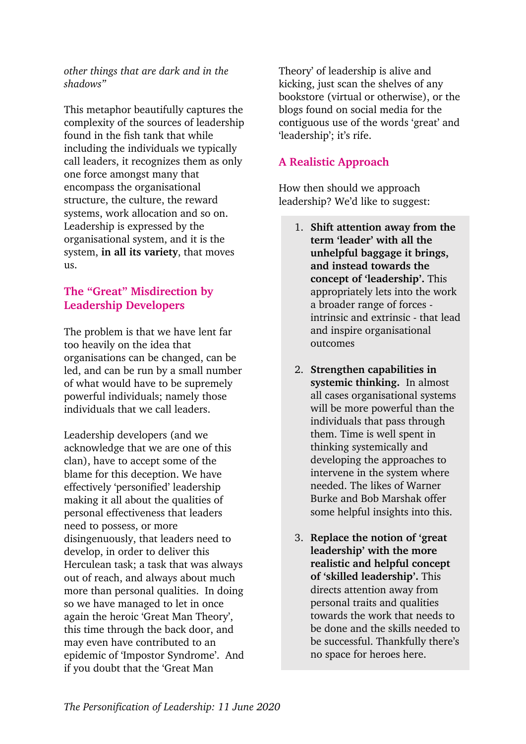*other things that are dark and in the shadows"* 

This metaphor beautifully captures the complexity of the sources of leadership found in the fish tank that while including the individuals we typically call leaders, it recognizes them as only one force amongst many that encompass the organisational structure, the culture, the reward systems, work allocation and so on. Leadership is expressed by the organisational system, and it is the system, **in all its variety**, that moves us.

#### **The "Great" Misdirection by Leadership Developers**

The problem is that we have lent far too heavily on the idea that organisations can be changed, can be led, and can be run by a small number of what would have to be supremely powerful individuals; namely those individuals that we call leaders.

Leadership developers (and we acknowledge that we are one of this clan), have to accept some of the blame for this deception. We have effectively 'personified' leadership making it all about the qualities of personal effectiveness that leaders need to possess, or more disingenuously, that leaders need to develop, in order to deliver this Herculean task; a task that was always out of reach, and always about much more than personal qualities. In doing so we have managed to let in once again the heroic 'Great Man Theory', this time through the back door, and may even have contributed to an epidemic of 'Impostor Syndrome'. And if you doubt that the 'Great Man

Theory' of leadership is alive and kicking, just scan the shelves of any bookstore (virtual or otherwise), or the blogs found on social media for the contiguous use of the words 'great' and 'leadership'; it's rife.

### **A Realistic Approach**

How then should we approach leadership? We'd like to suggest:

- 1. **Shift attention away from the term 'leader' with all the unhelpful baggage it brings, and instead towards the concept of 'leadership'.** This appropriately lets into the work a broader range of forces intrinsic and extrinsic - that lead and inspire organisational outcomes
- 2. **Strengthen capabilities in systemic thinking.** In almost all cases organisational systems will be more powerful than the individuals that pass through them. Time is well spent in thinking systemically and developing the approaches to intervene in the system where needed. The likes of Warner Burke and Bob Marshak offer some helpful insights into this.
- 3. **Replace the notion of 'great leadership' with the more realistic and helpful concept of 'skilled leadership'.** This directs attention away from personal traits and qualities towards the work that needs to be done and the skills needed to be successful. Thankfully there's no space for heroes here.